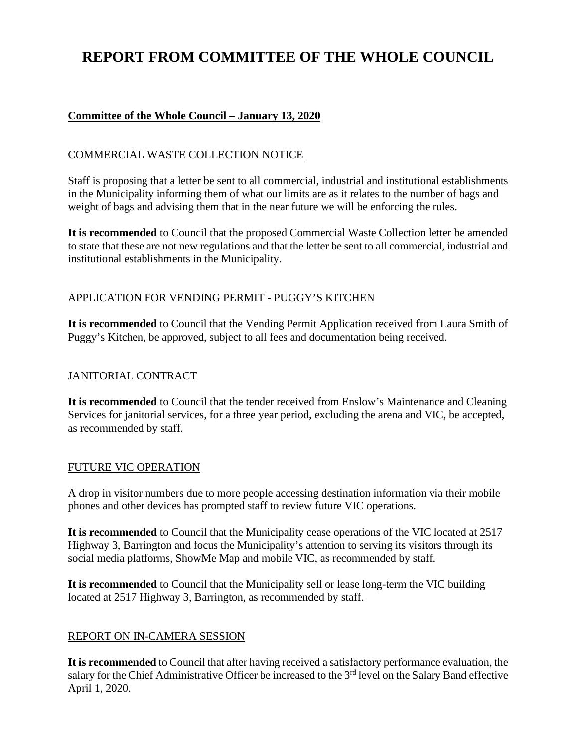# **REPORT FROM COMMITTEE OF THE WHOLE COUNCIL**

# **Committee of the Whole Council – January 13, 2020**

## COMMERCIAL WASTE COLLECTION NOTICE

Staff is proposing that a letter be sent to all commercial, industrial and institutional establishments in the Municipality informing them of what our limits are as it relates to the number of bags and weight of bags and advising them that in the near future we will be enforcing the rules.

**It is recommended** to Council that the proposed Commercial Waste Collection letter be amended to state that these are not new regulations and that the letter be sent to all commercial, industrial and institutional establishments in the Municipality.

# APPLICATION FOR VENDING PERMIT - PUGGY'S KITCHEN

**It is recommended** to Council that the Vending Permit Application received from Laura Smith of Puggy's Kitchen, be approved, subject to all fees and documentation being received.

## JANITORIAL CONTRACT

**It is recommended** to Council that the tender received from Enslow's Maintenance and Cleaning Services for janitorial services, for a three year period, excluding the arena and VIC, be accepted, as recommended by staff.

#### FUTURE VIC OPERATION

A drop in visitor numbers due to more people accessing destination information via their mobile phones and other devices has prompted staff to review future VIC operations.

**It is recommended** to Council that the Municipality cease operations of the VIC located at 2517 Highway 3, Barrington and focus the Municipality's attention to serving its visitors through its social media platforms, ShowMe Map and mobile VIC, as recommended by staff.

**It is recommended** to Council that the Municipality sell or lease long-term the VIC building located at 2517 Highway 3, Barrington, as recommended by staff.

# REPORT ON IN-CAMERA SESSION

**It is recommended** to Council that after having received a satisfactory performance evaluation, the salary for the Chief Administrative Officer be increased to the 3<sup>rd</sup> level on the Salary Band effective April 1, 2020.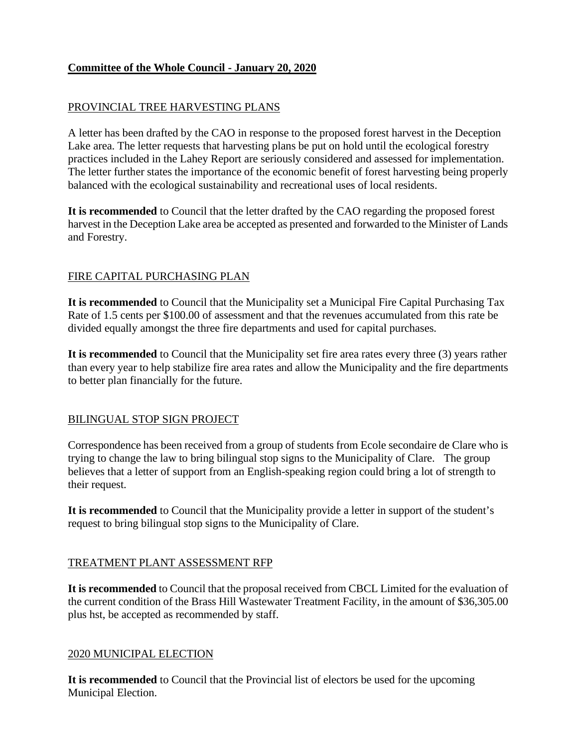# **Committee of the Whole Council - January 20, 2020**

# PROVINCIAL TREE HARVESTING PLANS

A letter has been drafted by the CAO in response to the proposed forest harvest in the Deception Lake area. The letter requests that harvesting plans be put on hold until the ecological forestry practices included in the Lahey Report are seriously considered and assessed for implementation. The letter further states the importance of the economic benefit of forest harvesting being properly balanced with the ecological sustainability and recreational uses of local residents.

**It is recommended** to Council that the letter drafted by the CAO regarding the proposed forest harvest in the Deception Lake area be accepted as presented and forwarded to the Minister of Lands and Forestry.

#### FIRE CAPITAL PURCHASING PLAN

**It is recommended** to Council that the Municipality set a Municipal Fire Capital Purchasing Tax Rate of 1.5 cents per \$100.00 of assessment and that the revenues accumulated from this rate be divided equally amongst the three fire departments and used for capital purchases.

**It is recommended** to Council that the Municipality set fire area rates every three (3) years rather than every year to help stabilize fire area rates and allow the Municipality and the fire departments to better plan financially for the future.

#### BILINGUAL STOP SIGN PROJECT

Correspondence has been received from a group of students from Ecole secondaire de Clare who is trying to change the law to bring bilingual stop signs to the Municipality of Clare. The group believes that a letter of support from an English-speaking region could bring a lot of strength to their request.

**It is recommended** to Council that the Municipality provide a letter in support of the student's request to bring bilingual stop signs to the Municipality of Clare.

#### TREATMENT PLANT ASSESSMENT RFP

**It is recommended** to Council that the proposal received from CBCL Limited for the evaluation of the current condition of the Brass Hill Wastewater Treatment Facility, in the amount of \$36,305.00 plus hst, be accepted as recommended by staff.

#### 2020 MUNICIPAL ELECTION

**It is recommended** to Council that the Provincial list of electors be used for the upcoming Municipal Election.